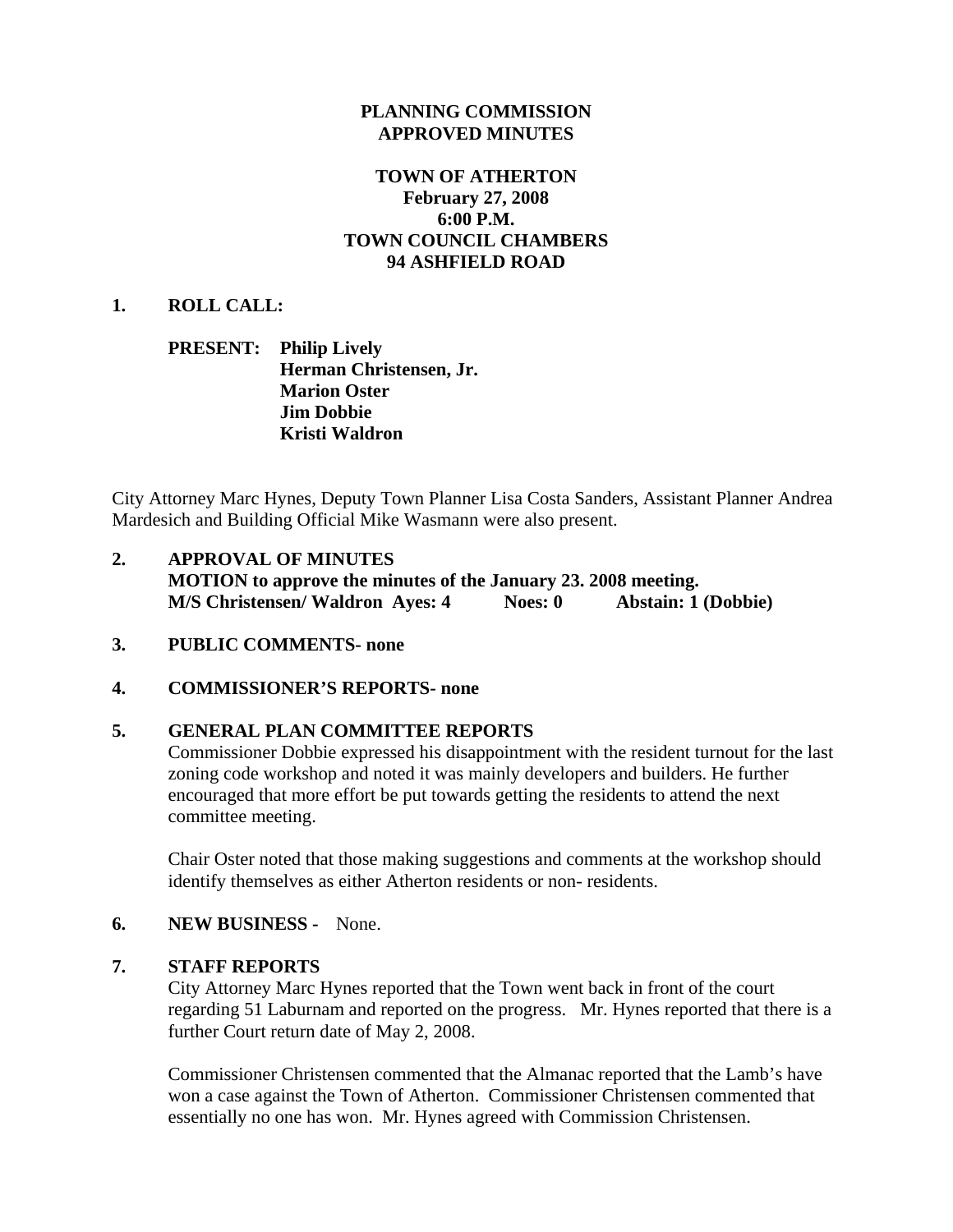### **PLANNING COMMISSION APPROVED MINUTES**

### **TOWN OF ATHERTON February 27, 2008 6:00 P.M. TOWN COUNCIL CHAMBERS 94 ASHFIELD ROAD**

### **1. ROLL CALL:**

### **PRESENT: Philip Lively Herman Christensen, Jr. Marion Oster Jim Dobbie Kristi Waldron**

City Attorney Marc Hynes, Deputy Town Planner Lisa Costa Sanders, Assistant Planner Andrea Mardesich and Building Official Mike Wasmann were also present.

- **2. APPROVAL OF MINUTES MOTION to approve the minutes of the January 23. 2008 meeting. M/S Christensen/ Waldron Ayes: 4 Noes: 0 Abstain: 1 (Dobbie)**
- **3. PUBLIC COMMENTS- none**

# **4. COMMISSIONER'S REPORTS- none**

### **5. GENERAL PLAN COMMITTEE REPORTS**

Commissioner Dobbie expressed his disappointment with the resident turnout for the last zoning code workshop and noted it was mainly developers and builders. He further encouraged that more effort be put towards getting the residents to attend the next committee meeting.

Chair Oster noted that those making suggestions and comments at the workshop should identify themselves as either Atherton residents or non- residents.

### **6. NEW BUSINESS -** None.

### **7. STAFF REPORTS**

City Attorney Marc Hynes reported that the Town went back in front of the court regarding 51 Laburnam and reported on the progress. Mr. Hynes reported that there is a further Court return date of May 2, 2008.

Commissioner Christensen commented that the Almanac reported that the Lamb's have won a case against the Town of Atherton. Commissioner Christensen commented that essentially no one has won. Mr. Hynes agreed with Commission Christensen.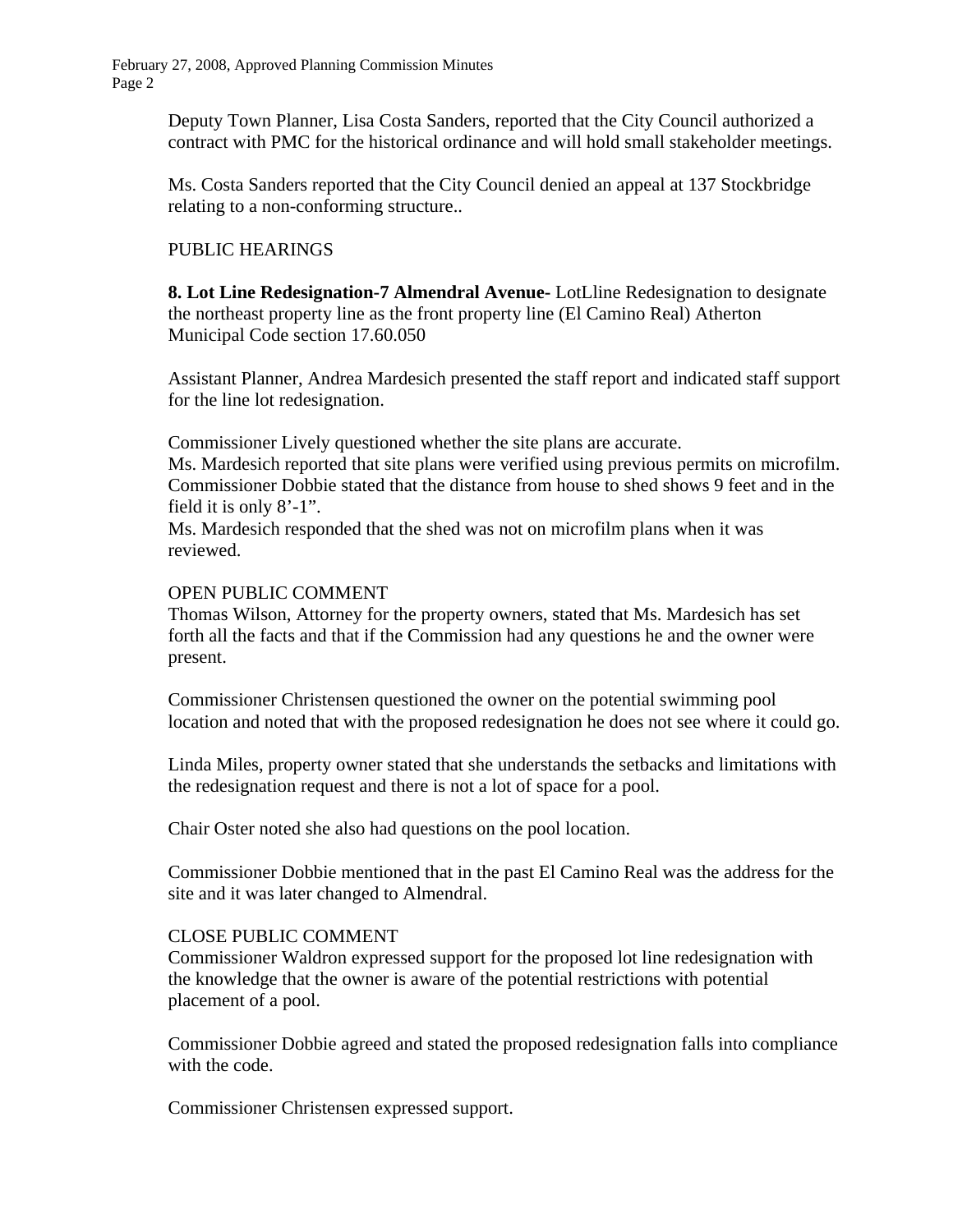February 27, 2008, Approved Planning Commission Minutes Page 2

> Deputy Town Planner, Lisa Costa Sanders, reported that the City Council authorized a contract with PMC for the historical ordinance and will hold small stakeholder meetings.

Ms. Costa Sanders reported that the City Council denied an appeal at 137 Stockbridge relating to a non-conforming structure..

# PUBLIC HEARINGS

**8. Lot Line Redesignation-7 Almendral Avenue-** LotLline Redesignation to designate the northeast property line as the front property line (El Camino Real) Atherton Municipal Code section 17.60.050

Assistant Planner, Andrea Mardesich presented the staff report and indicated staff support for the line lot redesignation.

Commissioner Lively questioned whether the site plans are accurate.

Ms. Mardesich reported that site plans were verified using previous permits on microfilm. Commissioner Dobbie stated that the distance from house to shed shows 9 feet and in the field it is only 8'-1".

Ms. Mardesich responded that the shed was not on microfilm plans when it was reviewed.

### OPEN PUBLIC COMMENT

Thomas Wilson, Attorney for the property owners, stated that Ms. Mardesich has set forth all the facts and that if the Commission had any questions he and the owner were present.

Commissioner Christensen questioned the owner on the potential swimming pool location and noted that with the proposed redesignation he does not see where it could go.

Linda Miles, property owner stated that she understands the setbacks and limitations with the redesignation request and there is not a lot of space for a pool.

Chair Oster noted she also had questions on the pool location.

Commissioner Dobbie mentioned that in the past El Camino Real was the address for the site and it was later changed to Almendral.

### CLOSE PUBLIC COMMENT

Commissioner Waldron expressed support for the proposed lot line redesignation with the knowledge that the owner is aware of the potential restrictions with potential placement of a pool.

Commissioner Dobbie agreed and stated the proposed redesignation falls into compliance with the code.

Commissioner Christensen expressed support.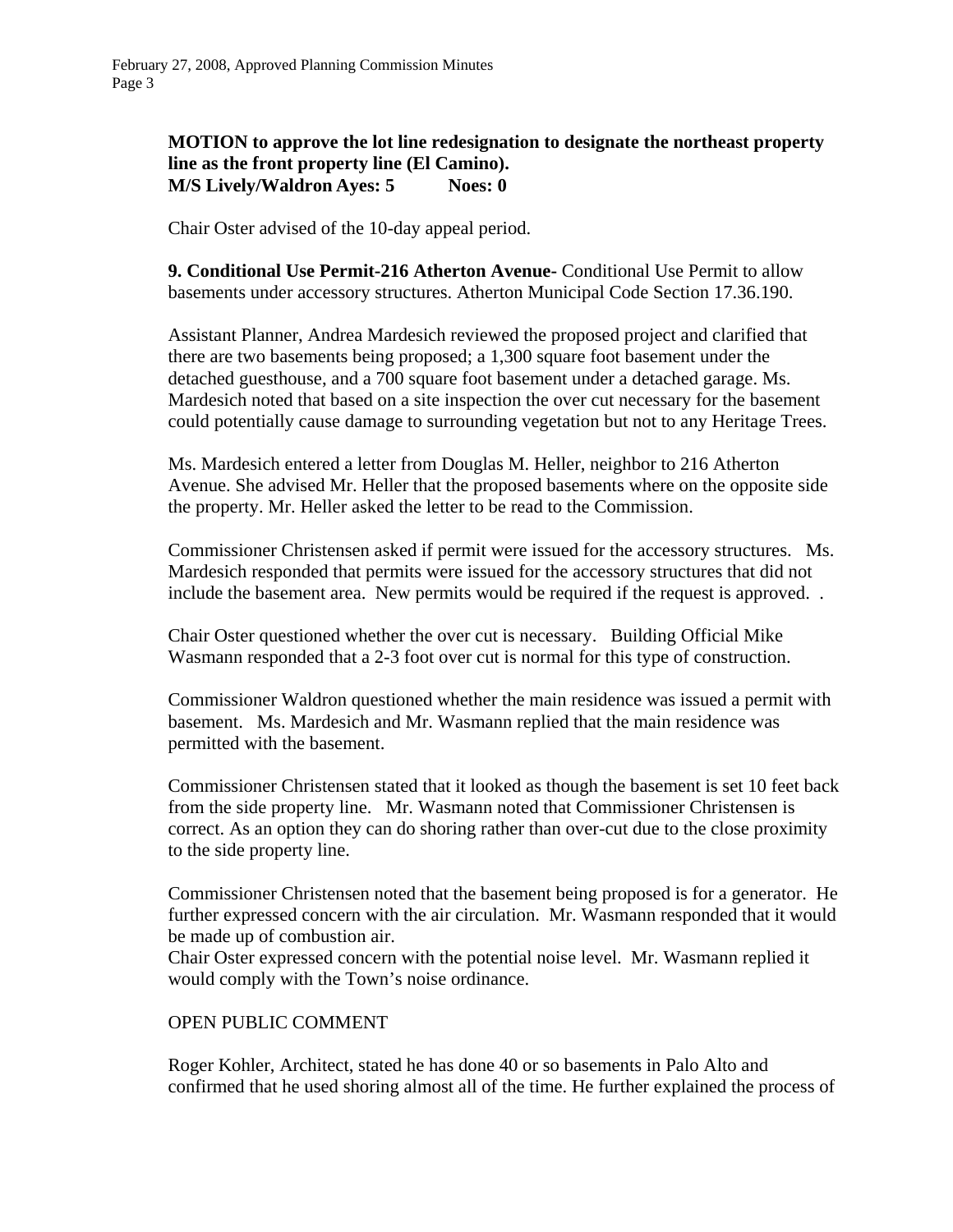**MOTION to approve the lot line redesignation to designate the northeast property line as the front property line (El Camino). M/S Lively/Waldron Ayes: 5 Noes: 0** 

Chair Oster advised of the 10-day appeal period.

 **9. Conditional Use Permit-216 Atherton Avenue-** Conditional Use Permit to allow basements under accessory structures. Atherton Municipal Code Section 17.36.190.

Assistant Planner, Andrea Mardesich reviewed the proposed project and clarified that there are two basements being proposed; a 1,300 square foot basement under the detached guesthouse, and a 700 square foot basement under a detached garage. Ms. Mardesich noted that based on a site inspection the over cut necessary for the basement could potentially cause damage to surrounding vegetation but not to any Heritage Trees.

Ms. Mardesich entered a letter from Douglas M. Heller, neighbor to 216 Atherton Avenue. She advised Mr. Heller that the proposed basements where on the opposite side the property. Mr. Heller asked the letter to be read to the Commission.

Commissioner Christensen asked if permit were issued for the accessory structures. Ms. Mardesich responded that permits were issued for the accessory structures that did not include the basement area. New permits would be required if the request is approved. .

Chair Oster questioned whether the over cut is necessary. Building Official Mike Wasmann responded that a 2-3 foot over cut is normal for this type of construction.

Commissioner Waldron questioned whether the main residence was issued a permit with basement. Ms. Mardesich and Mr. Wasmann replied that the main residence was permitted with the basement.

Commissioner Christensen stated that it looked as though the basement is set 10 feet back from the side property line. Mr. Wasmann noted that Commissioner Christensen is correct. As an option they can do shoring rather than over-cut due to the close proximity to the side property line.

Commissioner Christensen noted that the basement being proposed is for a generator. He further expressed concern with the air circulation. Mr. Wasmann responded that it would be made up of combustion air.

Chair Oster expressed concern with the potential noise level. Mr. Wasmann replied it would comply with the Town's noise ordinance.

### OPEN PUBLIC COMMENT

Roger Kohler, Architect, stated he has done 40 or so basements in Palo Alto and confirmed that he used shoring almost all of the time. He further explained the process of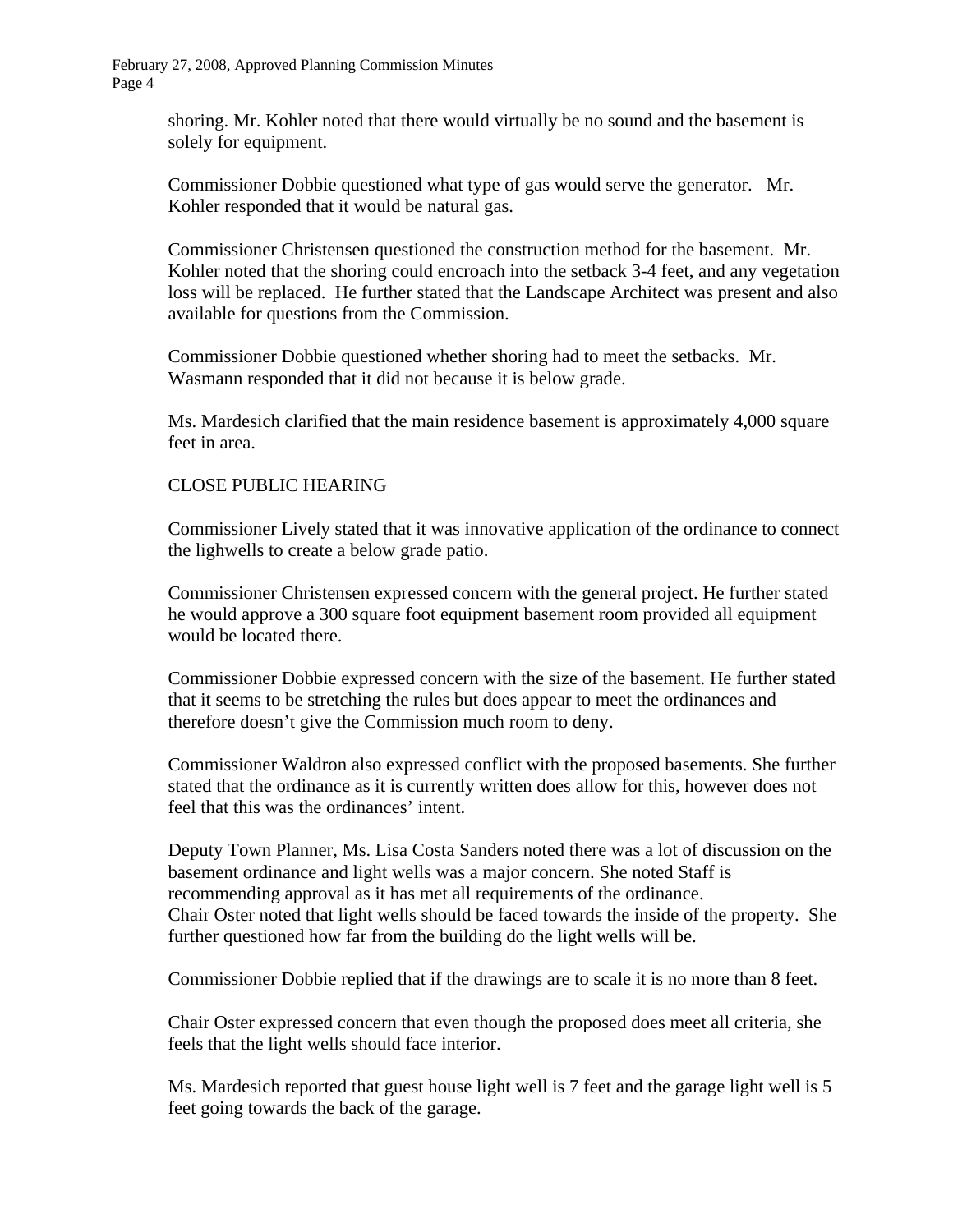February 27, 2008, Approved Planning Commission Minutes Page 4

> shoring. Mr. Kohler noted that there would virtually be no sound and the basement is solely for equipment.

Commissioner Dobbie questioned what type of gas would serve the generator. Mr. Kohler responded that it would be natural gas.

Commissioner Christensen questioned the construction method for the basement. Mr. Kohler noted that the shoring could encroach into the setback 3-4 feet, and any vegetation loss will be replaced. He further stated that the Landscape Architect was present and also available for questions from the Commission.

Commissioner Dobbie questioned whether shoring had to meet the setbacks. Mr. Wasmann responded that it did not because it is below grade.

Ms. Mardesich clarified that the main residence basement is approximately 4,000 square feet in area.

### CLOSE PUBLIC HEARING

Commissioner Lively stated that it was innovative application of the ordinance to connect the lighwells to create a below grade patio.

Commissioner Christensen expressed concern with the general project. He further stated he would approve a 300 square foot equipment basement room provided all equipment would be located there.

Commissioner Dobbie expressed concern with the size of the basement. He further stated that it seems to be stretching the rules but does appear to meet the ordinances and therefore doesn't give the Commission much room to deny.

Commissioner Waldron also expressed conflict with the proposed basements. She further stated that the ordinance as it is currently written does allow for this, however does not feel that this was the ordinances' intent.

Deputy Town Planner, Ms. Lisa Costa Sanders noted there was a lot of discussion on the basement ordinance and light wells was a major concern. She noted Staff is recommending approval as it has met all requirements of the ordinance. Chair Oster noted that light wells should be faced towards the inside of the property. She further questioned how far from the building do the light wells will be.

Commissioner Dobbie replied that if the drawings are to scale it is no more than 8 feet.

Chair Oster expressed concern that even though the proposed does meet all criteria, she feels that the light wells should face interior.

Ms. Mardesich reported that guest house light well is 7 feet and the garage light well is 5 feet going towards the back of the garage.